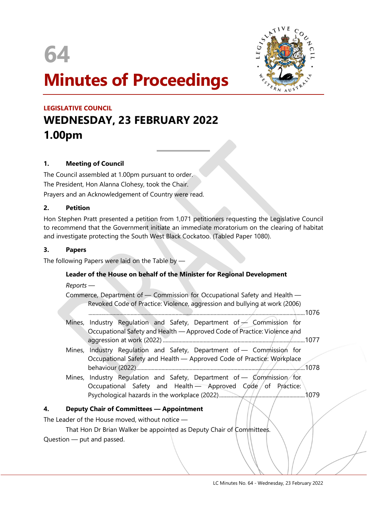



# Minutes of Proceedings

# LEGISLATIVE COUNCIL WEDNESDAY, 23 FEBRUARY 2022 1.00pm

 $\overline{a}$ 

# 1. Meeting of Council

The Council assembled at 1.00pm pursuant to order. The President, Hon Alanna Clohesy, took the Chair. Prayers and an Acknowledgement of Country were read.

#### 2. Petition

Hon Stephen Pratt presented a petition from 1,071 petitioners requesting the Legislative Council to recommend that the Government initiate an immediate moratorium on the clearing of habitat and investigate protecting the South West Black Cockatoo. (Tabled Paper 1080).

#### 3. Papers

The following Papers were laid on the Table by —

# Leader of the House on behalf of the Minister for Regional Development

Reports —

Commerce, Department of — Commission for Occupational Safety and Health — Revoked Code of Practice: Violence, aggression and bullying at work (2006)

.......................................................................................................................................................... 1076

- Mines, Industry Regulation and Safety, Department of  $\angle$  Commission for Occupational Safety and Health — Approved Code of Practice: Violence and aggression at work (2022) ..................................................................................................... 1077
- Mines, Industry Regulation and Safety, Department of Commission for Occupational Safety and Health — Approved Code of Practice: Workplace behaviour (2022) ........................................................................................................................ 1078
- Mines, Industry Regulation and Safety, Department of Commission for Occupational Safety and Health - Approved Code of Practice: Psychological hazards in the workplace (2022) ............................................................. 1079

# 4. Deputy Chair of Committees — Appointment

The Leader of the House moved, without notice —

# That Hon Dr Brian Walker be appointed as Deputy Chair of Committees.

Question — put and passed.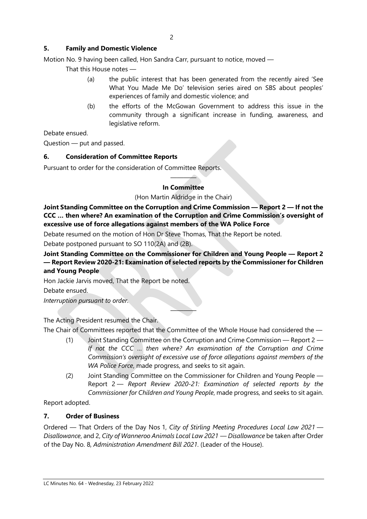# 5. Family and Domestic Violence

Motion No. 9 having been called, Hon Sandra Carr, pursuant to notice, moved —

That this House notes —

- (a) the public interest that has been generated from the recently aired 'See What You Made Me Do' television series aired on SBS about peoples' experiences of family and domestic violence; and
- (b) the efforts of the McGowan Government to address this issue in the community through a significant increase in funding, awareness, and legislative reform.

Debate ensued.

Question — put and passed.

#### 6. Consideration of Committee Reports

Pursuant to order for the consideration of Committee Reports.

#### $\longrightarrow$ In Committee

#### (Hon Martin Aldridge in the Chair)

Joint Standing Committee on the Corruption and Crime Commission — Report 2 — If not the CCC … then where? An examination of the Corruption and Crime Commission's oversight of excessive use of force allegations against members of the WA Police Force

Debate resumed on the motion of Hon Dr Steve Thomas, That the Report be noted.

Debate postponed pursuant to SO 110(2A) and (2B).

Joint Standing Committee on the Commissioner for Children and Young People — Report 2 — Report Review 2020-21: Examination of selected reports by the Commissioner for Children and Young People

Hon Jackie Jarvis moved, That the Report be noted.

Debate ensued.

Interruption pursuant to order.

The Acting President resumed the Chair.

The Chair of Committees reported that the Committee of the Whole House had considered the —

————

- (1) Joint Standing Committee on the Corruption and Crime Commission Report 2 If not the CCC … then where? An examination of the Corruption and Crime Commission's oversight of excessive use of force allegations against members of the WA Police Force, made progress, and seeks to sit again.
- (2) Joint Standing Committee on the Commissioner for Children and Young People Report 2 - Report Review 2020-21: Examination of selected reports by the Commissioner for Children and Young People, made progress, and seeks to sit again.

Report adopted.

#### 7. Order of Business

Ordered — That Orders of the Day Nos 1, City of Stirling Meeting Procedures Local Law 2021 — Disallowance, and 2, City of Wanneroo Animals Local Law 2021 — Disallowance be taken after Order of the Day No. 8, Administration Amendment Bill 2021. (Leader of the House).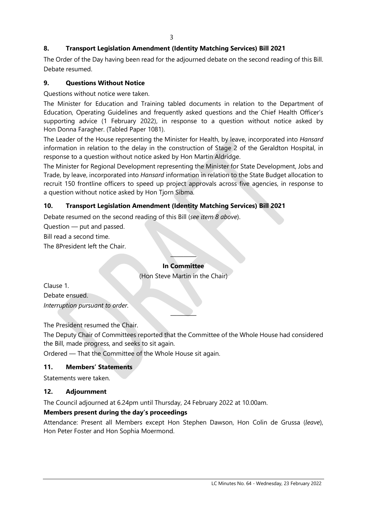# 8. Transport Legislation Amendment (Identity Matching Services) Bill 2021

The Order of the Day having been read for the adjourned debate on the second reading of this Bill. Debate resumed.

# 9. Questions Without Notice

Questions without notice were taken.

The Minister for Education and Training tabled documents in relation to the Department of Education, Operating Guidelines and frequently asked questions and the Chief Health Officer's supporting advice (1 February 2022), in response to a question without notice asked by Hon Donna Faragher. (Tabled Paper 1081).

The Leader of the House representing the Minister for Health, by leave, incorporated into Hansard information in relation to the delay in the construction of Stage 2 of the Geraldton Hospital, in response to a question without notice asked by Hon Martin Aldridge.

The Minister for Regional Development representing the Minister for State Development, Jobs and Trade, by leave, incorporated into Hansard information in relation to the State Budget allocation to recruit 150 frontline officers to speed up project approvals across five agencies, in response to a question without notice asked by Hon Tjorn Sibma.

# 10. Transport Legislation Amendment (Identity Matching Services) Bill 2021

Debate resumed on the second reading of this Bill (see item 8 above).

Question — put and passed.

Bill read a second time.

The 8President left the Chair.

# $\longrightarrow$ In Committee

(Hon Steve Martin in the Chair)

Clause 1. Debate ensued. Interruption pursuant to order.

The President resumed the Chair.

The Deputy Chair of Committees reported that the Committee of the Whole House had considered the Bill, made progress, and seeks to sit again.

————

Ordered — That the Committee of the Whole House sit again.

# 11. Members' Statements

Statements were taken.

# 12. Adjournment

The Council adjourned at 6.24pm until Thursday, 24 February 2022 at 10.00am.

# Members present during the day's proceedings

Attendance: Present all Members except Hon Stephen Dawson, Hon Colin de Grussa (leave), Hon Peter Foster and Hon Sophia Moermond.